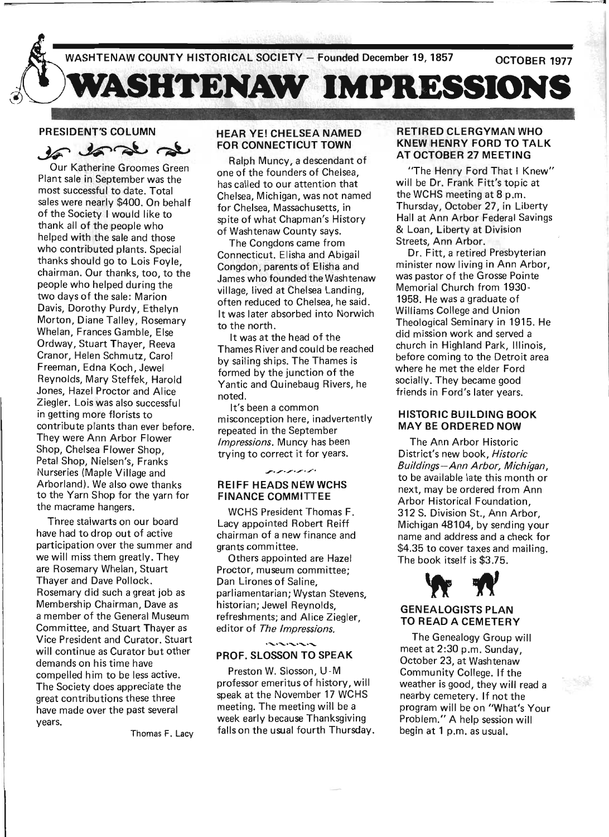

# PRESIDENT'S COLUMN

 $49.36.26$  at

Our Katherine Groomes Green Plant sale in September was the most successful to date. Total sales were nearly \$400. On behalf of the Society I would like to thank all of the people who helped with the sale and those who contributed plants. Special thanks should go to Lois Foyle, chairman. Our thanks, too, to the people who helped during the two days of the sale: Marion Davis, Dorothy Purdy, Ethelyn Morton, Diane Talley, Rosemary Whelan, Frances Gamble, Else Ordway, Stuart Thayer, Reeva Cranor, Helen Schmutz, Carol Freeman, Edna Koch, Jewel Reynolds, Mary Steffek, Harold Jones, Hazel Proctor and Alice Ziegler. Lois was also successful in getting more florists to contribute plants than ever before. They were Ann Arbor Flower Shop, Chelsea Flower Shop, Petal Shop, Nielsen's, Franks Nurseries (Maple Village and Arborland). We also owe thanks to the Yarn Shop for the yarn for the macrame hangers.

Three staiwarts on our board have had to drop out of active participation over the summer and we will miss them greatly. They are Rosemary Whelan, Stuart Thayer and Dave Pollock. Rosemary did such a great job as Membership Chairman, Dave as a member of the General Museum Committee, and Stuart Thayer as Vice President and Curator. Stuart will continue as Curator but other demands on his time have compelled him to be less active. The Society does appreciate the great contributions these three have made over the past several years.

Thomas F. Lacy

### HEAR YE! CHELSEA NAMED FOR CONNECTICUT TOWN

Ralph Muncy, a descendant of one of the founders of Chelsea, has called to our attention that Chelsea, Michigan, was not named for Chelsea, Massachusetts, in spite of what Chapman's History of Washtenaw County says.

The Congdons came from Connecticut. Elisha and Abigail Congdon, parents of Elisha and James who founded the Washtenaw village, lived at Chelsea Landing, often reduced to Chelsea, he said. It was later absorbed into Norwich to the north.

It was at the head of the Thames River and could be reached by sailing ships. The Thames is formed by the junction of the Yantic and Quinebaug Rivers, he noted.

It's been a common misconception here, inadvertently repeated in the September Impressions. Muncy has been trying to correct it for years.

 $\mathbf{r}, \mathbf{r}, \mathbf{r}, \mathbf{r}, \mathbf{r}$ 

# REIFF HEADS NEW WCHS FINANCE COMMITTEE

WCHS President Thomas F. Lacy appointed Robert Reiff chairman of a new finance and grants committee.

Others appointed are Hazel . Proctor, museum committee; Dan Lirones of Saline, parliamentarian; Wystan Stevens, historian; Jewel Reynolds, refreshments; and Alice Ziegler, editor of The Impressions.

باس والبارات والتعارف

### PROF. SLOSSON TO SPEAK

Preston W. Siosson, U-M professor emeritus of history, will speak at the November 17 WCHS meeting. The meeting will be a week early because Thanksgiving falls on the usual fourth Thursday.

### RETIRED CLERGYMAN WHO KNEW HENRY FORD TO TALK AT OCTOBER 27 MEETING

"The Henry Ford That I Knew" will be Dr. Frank Fitt's topic at the WCHS meeting at 8 p.m. Thursday, October 27, in Liberty Hall at Ann Arbor Federal Savings & Loan, Liberty at Division Streets, Ann Arbor.

Dr. Fitt, a retired Presbyterian minister now living in Ann Arbor, was pastor of the Grosse Pointe Memorial Church from 1930- 1958. He was a graduate of Williams College and Union Theological Seminary in 1915. He did mission work and served a church in Highland Park, Illinois, before coming to the Detroit area where he met the elder Ford socially. They became good friends in Ford's later years.

### HISTORIC BUILDING BOOK MAY BE ORDERED NOW

The Ann Arbor Historic District's new book, Historic Bui/dings-Ann Arbor, Michigan, to be available late this month or next, may be ordered from Ann Arbor Historical Foundation, 312 S. Division St., Ann Arbor, Michigan 48104, by sending your name and address and a check for \$4.35 to cover taxes and mailing. The book itself is \$3.75.



### GENEALOGISTS PLAN TO READ A CEMETERY

The Genealogy Group will meet at 2:30 p.m. Sunday, October 23, at Washtenaw Community College. If the weather is good, they will read a nearby cemetery. If not the program will be on "What's Your Problem." A help session will begin at 1 p.m. as usual.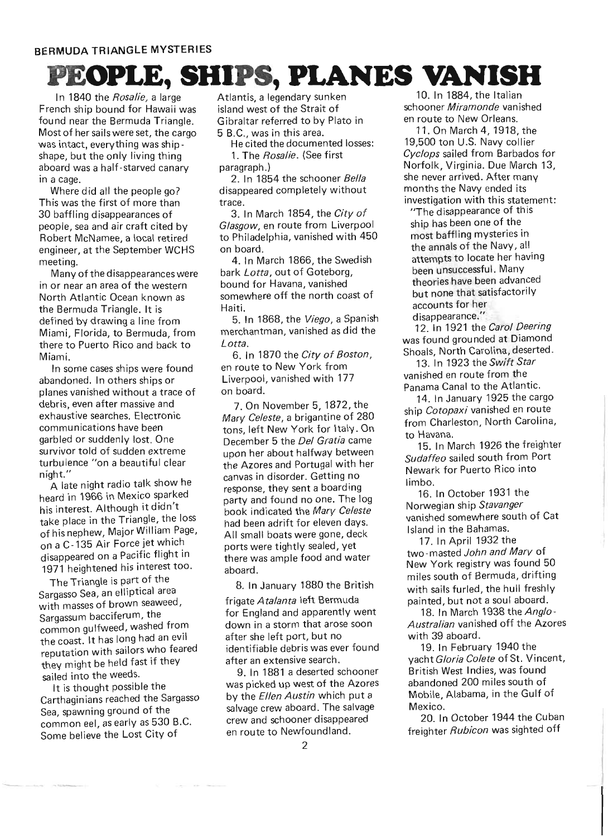# **OPLE, SHIPS, PLANES VANISH**

In 1840 the Rosalie, a large French ship bound for Hawaii was found near the Bermuda Triangle. Most of her sails were set, the cargo was intact, everything was shipshape, but the only living thing aboard was a half-starved canary in a cage.

Where did all the people go? This was the first of more than 30 baffling disappearances of people, sea and air craft cited by Robert McNamee, a local retired engineer, at the September WCHS meeting.

Many of the disappearances were in or near an area of the western North Atlantic Ocean known as the Bermuda Triangle. It is defined by drawing a line from Miami, Florida, to Bermuda, from there to Puerto Rico and back to Miami.

In some cases ships were found abandoned. In others ships or planes vanished without a trace of debris, even after massive and exhaustive searches. Electronic communications have been garbled or suddenly lost. One survivor told of sudden extreme turbulence "on a beautiful clear night."

A late night radio talk show he heard in 1966 in Mexico sparked his interest. Although it didn't take place in the Triangle, the loss of his nephew, Major William Page, on a C-135 Air Force jet which disappeared on a Pacific flight in 1971 heightened his interest too.

The Triangle is part of the Sargasso Sea, an elliptical area with masses of brown seaweed, Sargassum bacciferum, the common gulfweed, washed from the coast. It has long had an evil reputation with sailors who feared they might be held fast if they sailed into the weeds.

It is thought possible the Carthaginians reached the Sargasso Sea, spawning ground of the common eel, as early as 530 B.C. Some believe the Lost City of

Atlantis, a legendary sunken island west of the Strait of Gibraltar referred to by Plato in 5 B.C., was in this area.

He cited the documented losses: 1. The Rosalie. (See first paragraph. )

2. In 1854 the schooner Bella disappeared completely without trace.

3. In March 1854, the City of Glasgow, en route from Liverpool to Philadelphia, vanished with 450 on board.

4. In March 1866, the Swedish bark Lotta, out of Goteborg, bound for Havana, vanished somewhere off the north coast of Haiti.

5. In 1868, the Viego, a Spanish merchantman, vanished as did the Lotta.

6. In 1870 the City of Boston, en route to New York from Liverpool, vanished with 177 on board.

7. On November 5,1872, the Mary Celeste, a brigantine of 280 tons, left New York for Italy. On December 5 the Del Gratia came upon her about halfway between the Azores and Portugal with her canvas in disorder. Getting no response, they sent a boarding party and found no one. The log book indicated the Mary Celeste had been adrift for eleven days. All small boats were gone, deck ports were tightly sealed, yet there was ample food and water aboard.

8. In January 1880 the British

frigate Atalanta left Bermuda for England and apparently went down in a storm that arose soon after she left port, but no identifiable debris was ever found after an extensive search.

9. In 1881 a deserted schooner was picked up west of the Azores by the *Ellen Austin* which put a salvage crew aboard. The salvage crew and schooner disappeared en route to Newfoundland.

10. In 1884, the Italian schooner Miramonde vanished en route to New Orleans.

11. On March 4, 1918, the 19,500 ton U.S. Navy collier Cyclops sailed from Barbados for Norfolk, Virginia. Due March 13, she never arrived. After many months the Navy ended its investigation with this statement:

"The disappearance of this ship has been one of the most baffling mysteries in the annals of the Navy, all attempts to locate her having been unsuccessful. Many theories have been advanced but none that satisfactorily accounts for her disappearance."

12. In 1921 the Carol Deering was found grounded at Diamond Shoals, North Carolina, deserted.

13. In 1923 the Swift Star vanished en route from the Panama Canal to the Atlantic.

14. In January 1925 the cargo ship Cotopaxi vanished en route from Charleston, North Carolina, to Havana.

15. In March 1926 the freighter Sudaffeo sailed south from Port Newark for Puerto Rico into limbo.

16. In October 1931 the Norwegian ship Stavanger vanished somewhere south of Cat Island in the Bahamas.

17. In April 1932 the two-masted John and Mary of New York registry was found 50 miles south of Bermuda, drifting with sails furled, the hull freshly painted, but not a soul aboard.

18. In March 1938 the Anglo-Australian vanished off the Azores with 39 aboard.

19. In February 1940 the yacht Gloria Colete of St. Vincent, British West Indies, was found abandoned 200 miles south of Mobile, Alabama, in the Gulf of Mexico.

20. In October 1944 the Cuban freighter *Rubicon* was sighted off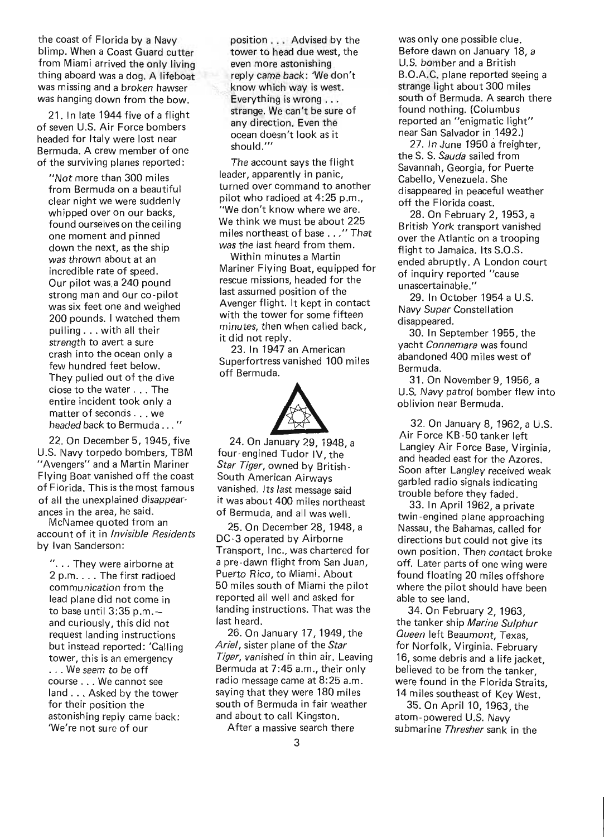the coast of Florida by a Navy blimp. When a Coast Guard cutter from Miami arrived the only living thing aboard was a dog. A lifeboat was missing and a broken hawser was hanging down from the bow.

21. In late 1944 five of a flight of seven U.S. Air Force bombers headed for Italy were lost near Bermuda. A crew member of one of the surviving planes reported:

"Not more than 300 miles from Bermuda on a beautiful clear night we were suddenly whipped over on our backs. found ourselves on the ceiling one moment and pinned down the next, as the ship was thrown about at an incredible rate of speed. Our pilot was,a 240 pound strong man and our co-pilot was six feet one and weighed 200 pounds. I watched them pulling ... with all their strength to avert a sure crash into the ocean only a few hundred feet below. They pulled out of the dive close to the water ... The entire incident took only a matter of seconds .. . we headed back to Bermuda . . . "

22. On December 5,1945, five U.S. Navy torpedo bombers, TBM "Avengers" and a Martin Mariner Flying Boat vanished off the coast of Florida. This is the most famous of all the unexplained disappearances in the area, he said.

McNamee quoted from an account of it in *Invisible Residents*  by Ivan Sanderson:

". . . They were airborne at 2 p.m. . . . The first radioed communication from the lead plane did not come in to base until  $3:35$  p.m. and curiously, this did not request landing instructions but instead reported: 'Calling tower, this is an emergency ... We seem to be off course ... We cannot see land ... Asked by the tower for their position the astonishing reply came back: 'We're not sure of our

position. .. Advised by the tower to head due west, the even more astonishing reply came back: 'We don't know which way is west. Everything is wrong ... strange. We can't be sure of any direction. Even the ocean doesn't look as it should.'"

The account says the flight leader, apparently in panic, turned over command to another pilot who radioed at 4:25 p.m., "We don't know where we are. We think we must be about 225 miles northeast of base . . . " That was the last heard from them.

Within minutes a Martin Mariner Flying Boat, equipped for rescue missions, headed for the last assumed position of the Avenger flight. It kept in contact with the tower for some fifteen minutes, then when called back, it did not reply.

23. In 1947 an American Superfortress vanished 100 miles off Bermuda.



four-engined Tudor IV, the *Star Tiger,* owned by British-South American Airways vanished. Its last message said it was about 400 miles northeast of Bermuda, and all was well.

25. On December 28, 1948, a DC -3 operated by Airborne Transport, Inc., was chartered for a pre -dawn flight from San Juan, Puerto Rico, to Miami. About 50 miles south of Miami the pilot reported all well and asked for landing instructions. That was the last heard.

26. On January 17, 1949, the *Ariel,* sister plane of the *Star Tiger,* vanished in thin air. Leaving Bermuda at 7:45 a.m., their only radio message came at 8:25 a.m. saying that they were 180 miles south of Bermuda in fair weather and about to call Kingston.

A fter a massive search there

was only one possible clue. Before dawn on January 18, a U.S. bomber and a British B.O.A.C. plane reported seeing a strange light about 300 miles south of Bermuda. A search there found nothing. (Columbus reported an "enigmatic light" near San Salvador in 1492.)

27. In June 1950 a freighter, the S. S. *Sauda* sailed from Savannah, Georgia, for Puerte Cabello, Venezuela. She disappeared in peaceful weather off the Florida coast.

28. On February 2, 1953, a British York transport vanished over the Atlantic on a trooping flight to Jamaica. Its S.O.S. ended abruptly. A London court of inqu iry reported "cause unascertainable."

29. In October 1954 a U.S. Navy Super Constellation disappeared.

30. In September 1955, the yacht *Connemara* was found abandoned 400 miles west of Bermuda.

31. On November 9, 1956, a U.S. Navy patrol bomber flew into oblivion near Bermuda.

32. On January 8,1962, a U.S. Air Force KB -50 tanker left Langley Air Force Base, Virginia, and headed east for the Azores. Soon after Langley received weak garbled radio signals indicating trouble before they faded.

33. In April 1962, a private twin-engined plane approaching Nassau, the Bahamas, called for directions but could not give its own position. Then contact broke off. Later parts of one wing were found floating 20 miles offshore where the pilot should have been able to see land.

34. On February 2, 1963, the tanker ship *Marine Sulphur Queen* left Beaumont, Texas, for Norfolk, Virginia. February 16, some debris and a life jacket, believed to be from the tanker, were found in the Florida Straits, 14 miles southeast of Key West.

35. On April 10, 1963, the atom-powered U.S. Navy submarine *Thresher* sank in the